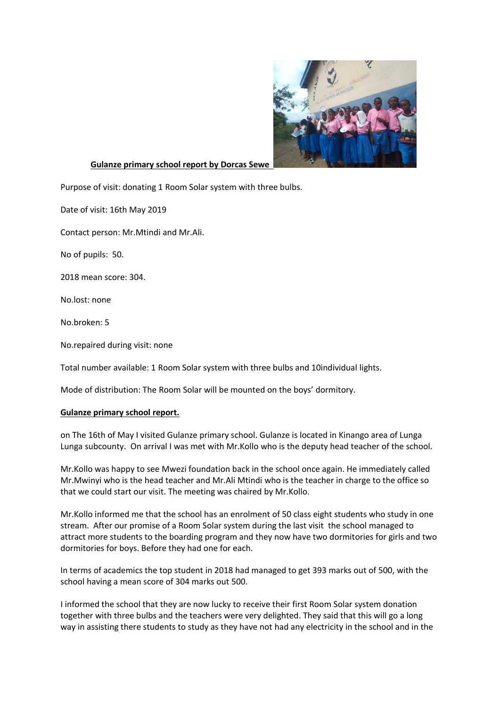

## **Gulanze primary school report by Dorcas Sewe**

Purpose of visit: donating 1 Room Solar system with three bulbs.

Date of visit: 16th May 2019

Contact person: Mr.Mtindi and Mr.Ali.

No of pupils: 50.

2018 mean score: 304.

No.lost: none

No.broken: 5

No.repaired during visit: none

Total number available: 1 Room Solar system with three bulbs and 10individual lights.

Mode of distribution: The Room Solar will be mounted on the boys' dormitory.

## **Gulanze primary school report.**

on The 16th of May I visited Gulanze primary school. Gulanze is located in Kinango area of Lunga Lunga subcounty. On arrival I was met with Mr.Kollo who is the deputy head teacher of the school.

Mr.Kollo was happy to see Mwezi foundation back in the school once again. He immediately called Mr.Mwinyi who is the head teacher and Mr.Ali Mtindi who is the teacher in charge to the office so that we could start our visit. The meeting was chaired by Mr.Kollo.

Mr.Kollo informed me that the school has an enrolment of 50 class eight students who study in one stream. After our promise of a Room Solar system during the last visit the school managed to attract more students to the boarding program and they now have two dormitories for girls and two dormitories for boys. Before they had one for each.

In terms of academics the top student in 2018 had managed to get 393 marks out of 500, with the school having a mean score of 304 marks out 500.

I informed the school that they are now lucky to receive their first Room Solar system donation together with three bulbs and the teachers were very delighted. They said that this will go a long way in assisting there students to study as they have not had any electricity in the school and in the